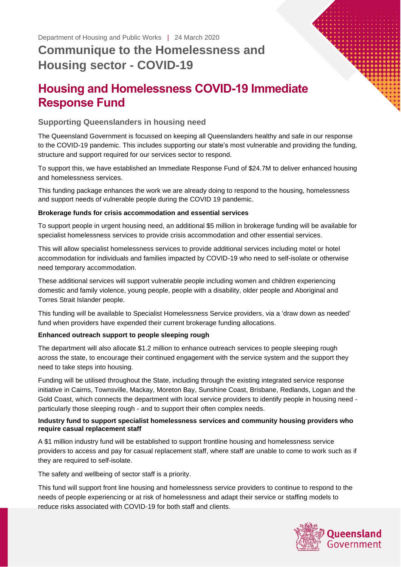# **Housing and Homelessness COVID-19 Immediate Response Fund**

## **Supporting Queenslanders in housing need**

The Queensland Government is focussed on keeping all Queenslanders healthy and safe in our response to the COVID-19 pandemic. This includes supporting our state's most vulnerable and providing the funding, structure and support required for our services sector to respond.

To support this, we have established an Immediate Response Fund of \$24.7M to deliver enhanced housing and homelessness services.

This funding package enhances the work we are already doing to respond to the housing, homelessness and support needs of vulnerable people during the COVID 19 pandemic.

## **Brokerage funds for crisis accommodation and essential services**

To support people in urgent housing need, an additional \$5 million in brokerage funding will be available for specialist homelessness services to provide crisis accommodation and other essential services.

This will allow specialist homelessness services to provide additional services including motel or hotel accommodation for individuals and families impacted by COVID-19 who need to self-isolate or otherwise need temporary accommodation.

These additional services will support vulnerable people including women and children experiencing domestic and family violence, young people, people with a disability, older people and Aboriginal and Torres Strait Islander people.

This funding will be available to Specialist Homelessness Service providers, via a 'draw down as needed' fund when providers have expended their current brokerage funding allocations.

## **Enhanced outreach support to people sleeping rough**

The department will also allocate \$1.2 million to enhance outreach services to people sleeping rough across the state, to encourage their continued engagement with the service system and the support they need to take steps into housing.

Funding will be utilised throughout the State, including through the existing integrated service response initiative in Cairns, Townsville, Mackay, Moreton Bay, Sunshine Coast, Brisbane, Redlands, Logan and the Gold Coast, which connects the department with local service providers to identify people in housing need particularly those sleeping rough - and to support their often complex needs.

## **Industry fund to support specialist homelessness services and community housing providers who require casual replacement staff**

A \$1 million industry fund will be established to support frontline housing and homelessness service providers to access and pay for casual replacement staff, where staff are unable to come to work such as if they are required to self-isolate.

The safety and wellbeing of sector staff is a priority.

This fund will support front line housing and homelessness service providers to continue to respond to the needs of people experiencing or at risk of homelessness and adapt their service or staffing models to reduce risks associated with COVID-19 for both staff and clients.

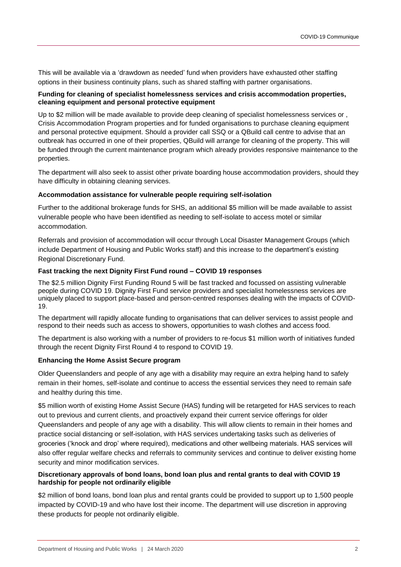This will be available via a 'drawdown as needed' fund when providers have exhausted other staffing options in their business continuity plans, such as shared staffing with partner organisations.

#### **Funding for cleaning of specialist homelessness services and crisis accommodation properties, cleaning equipment and personal protective equipment**

Up to \$2 million will be made available to provide deep cleaning of specialist homelessness services or , Crisis Accommodation Program properties and for funded organisations to purchase cleaning equipment and personal protective equipment. Should a provider call SSQ or a QBuild call centre to advise that an outbreak has occurred in one of their properties, QBuild will arrange for cleaning of the property. This will be funded through the current maintenance program which already provides responsive maintenance to the properties.

The department will also seek to assist other private boarding house accommodation providers, should they have difficulty in obtaining cleaning services.

#### **Accommodation assistance for vulnerable people requiring self-isolation**

Further to the additional brokerage funds for SHS, an additional \$5 million will be made available to assist vulnerable people who have been identified as needing to self-isolate to access motel or similar accommodation.

Referrals and provision of accommodation will occur through Local Disaster Management Groups (which include Department of Housing and Public Works staff) and this increase to the department's existing Regional Discretionary Fund.

#### **Fast tracking the next Dignity First Fund round – COVID 19 responses**

The \$2.5 million Dignity First Funding Round 5 will be fast tracked and focussed on assisting vulnerable people during COVID 19. Dignity First Fund service providers and specialist homelessness services are uniquely placed to support place-based and person-centred responses dealing with the impacts of COVID-19.

The department will rapidly allocate funding to organisations that can deliver services to assist people and respond to their needs such as access to showers, opportunities to wash clothes and access food.

The department is also working with a number of providers to re-focus \$1 million worth of initiatives funded through the recent Dignity First Round 4 to respond to COVID 19.

#### **Enhancing the Home Assist Secure program**

Older Queenslanders and people of any age with a disability may require an extra helping hand to safely remain in their homes, self-isolate and continue to access the essential services they need to remain safe and healthy during this time.

\$5 million worth of existing Home Assist Secure (HAS) funding will be retargeted for HAS services to reach out to previous and current clients, and proactively expand their current service offerings for older Queenslanders and people of any age with a disability. This will allow clients to remain in their homes and practice social distancing or self-isolation, with HAS services undertaking tasks such as deliveries of groceries ('knock and drop' where required), medications and other wellbeing materials. HAS services will also offer regular welfare checks and referrals to community services and continue to deliver existing home security and minor modification services.

## **Discretionary approvals of bond loans, bond loan plus and rental grants to deal with COVID 19 hardship for people not ordinarily eligible**

\$2 million of bond loans, bond loan plus and rental grants could be provided to support up to 1,500 people impacted by COVID-19 and who have lost their income. The department will use discretion in approving these products for people not ordinarily eligible.